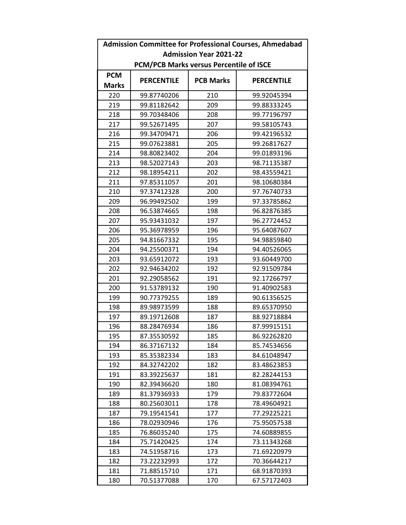| <b>Admission Committee for Professional Courses, Ahmedabad</b> |                   |                  |                   |  |  |  |  |
|----------------------------------------------------------------|-------------------|------------------|-------------------|--|--|--|--|
| <b>Admission Year 2021-22</b>                                  |                   |                  |                   |  |  |  |  |
| PCM/PCB Marks versus Percentile of ISCE                        |                   |                  |                   |  |  |  |  |
| <b>PCM</b>                                                     |                   |                  |                   |  |  |  |  |
| <b>Marks</b>                                                   | <b>PERCENTILE</b> | <b>PCB Marks</b> | <b>PERCENTILE</b> |  |  |  |  |
| 220                                                            | 99.87740206       | 210              | 99.92045394       |  |  |  |  |
| 219                                                            | 99.81182642       | 209              | 99.88333245       |  |  |  |  |
| 218                                                            | 99.70348406       | 208              | 99.77196797       |  |  |  |  |
| 217                                                            | 99.52671495       | 207              | 99.58105743       |  |  |  |  |
| 216                                                            | 99.34709471       | 206              | 99.42196532       |  |  |  |  |
| 215                                                            | 99.07623881       | 205              | 99.26817627       |  |  |  |  |
| 214                                                            | 98.80823402       | 204              | 99.01893196       |  |  |  |  |
| 213                                                            | 98.52027143       | 203              | 98.71135387       |  |  |  |  |
| 212                                                            | 98.18954211       | 202              | 98.43559421       |  |  |  |  |
| 211                                                            | 97.85311057       | 201              | 98.10680384       |  |  |  |  |
| 210                                                            | 97.37412328       | 200              | 97.76740733       |  |  |  |  |
| 209                                                            | 96.99492502       | 199              | 97.33785862       |  |  |  |  |
| 208                                                            | 96.53874665       | 198              | 96.82876385       |  |  |  |  |
| 207                                                            | 95.93431032       | 197              | 96.27724452       |  |  |  |  |
| 206                                                            | 95.36978959       | 196              | 95.64087607       |  |  |  |  |
| 205                                                            | 94.81667332       | 195              | 94.98859840       |  |  |  |  |
| 204                                                            | 94.25500371       | 194              | 94.40526065       |  |  |  |  |
| 203                                                            | 93.65912072       | 193              | 93.60449700       |  |  |  |  |
| 202                                                            | 92.94634202       | 192              | 92.91509784       |  |  |  |  |
| 201                                                            | 92.29058562       | 191              | 92.17266797       |  |  |  |  |
| 200                                                            | 91.53789132       | 190              | 91.40902583       |  |  |  |  |
| 199                                                            | 90.77379255       | 189              | 90.61356525       |  |  |  |  |
| 198                                                            | 89.98973599       | 188              | 89.65370950       |  |  |  |  |
| 197                                                            | 89.19712608       | 187              | 88.92718884       |  |  |  |  |
| 196                                                            | 88.28476934       | 186              | 87.99915151       |  |  |  |  |
| 195                                                            | 87.35530592       | 185              | 86.92262820       |  |  |  |  |
| 194                                                            | 86.37167132       | 184              | 85.74534656       |  |  |  |  |
| 193                                                            | 85.35382334       | 183              | 84.61048947       |  |  |  |  |
| 192                                                            | 84.32742202       | 182              | 83.48623853       |  |  |  |  |
| 191                                                            | 83.39225637       | 181              | 82.28244153       |  |  |  |  |
| 190                                                            | 82.39436620       | 180              | 81.08394761       |  |  |  |  |
| 189                                                            | 81.37936933       | 179              | 79.83772604       |  |  |  |  |
| 188                                                            | 80.25603011       | 178              | 78.49604921       |  |  |  |  |
| 187                                                            | 79.19541541       | 177              | 77.29225221       |  |  |  |  |
| 186                                                            | 78.02930946       | 176              | 75.95057538       |  |  |  |  |
| 185                                                            | 76.86035240       | 175              | 74.60889855       |  |  |  |  |
| 184                                                            | 75.71420425       | 174              | 73.11343268       |  |  |  |  |
| 183                                                            | 74.51958716       | 173              | 71.69220979       |  |  |  |  |
| 182                                                            | 73.22232993       | 172              | 70.36644217       |  |  |  |  |
| 181                                                            | 71.88515710       | 171              | 68.91870393       |  |  |  |  |
| 180                                                            | 70.51377088       | 170              | 67.57172403       |  |  |  |  |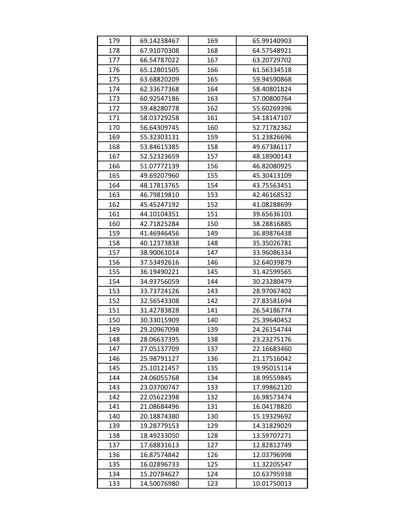| 179 | 69.14238467 | 169 | 65.99140903 |
|-----|-------------|-----|-------------|
| 178 | 67.91070308 | 168 | 64.57548921 |
| 177 | 66.54787022 | 167 | 63.20729702 |
| 176 | 65.12801505 | 166 | 61.56334518 |
| 175 | 63.68820209 | 165 | 59.94590868 |
| 174 | 62.33677368 | 164 | 58.40801824 |
| 173 | 60.92547186 | 163 | 57.00800764 |
| 172 | 59.48280778 | 162 | 55.60269396 |
| 171 | 58.03729258 | 161 | 54.18147107 |
| 170 | 56.64309745 | 160 | 52.71782362 |
| 169 | 55.32303131 | 159 | 51.23826696 |
| 168 | 53.84615385 | 158 | 49.67386117 |
| 167 | 52.52323659 | 157 | 48.18900143 |
| 166 | 51.07772139 | 156 | 46.82080925 |
| 165 | 49.69207960 | 155 | 45.30413109 |
| 164 | 48.17813765 | 154 | 43.75563451 |
| 163 | 46.79819810 | 153 | 42.46168532 |
| 162 | 45.45247192 | 152 | 41.08288699 |
| 161 | 44.10104351 | 151 | 39.65636103 |
| 160 | 42.71825284 | 150 | 38.28816885 |
| 159 | 41.46946456 | 149 | 36.89876438 |
| 158 | 40.12373838 | 148 | 35.35026781 |
| 157 | 38.90061014 | 147 | 33.96086334 |
| 156 | 37.53492616 | 146 | 32.64039879 |
| 155 | 36.19490221 | 145 | 31.42599565 |
| 154 | 34.93756059 | 144 | 30.23280479 |
| 153 | 33.73724126 | 143 | 28.97067402 |
| 152 | 32.56543308 | 142 | 27.83581694 |
| 151 | 31.42783828 | 141 | 26.54186774 |
| 150 | 30.33015909 | 140 | 25.39640452 |
| 149 | 29.20967098 | 139 | 24.26154744 |
| 148 | 28.06637395 | 138 | 23.23275176 |
| 147 | 27.05137709 | 137 | 22.16683460 |
| 146 | 25.98791127 | 136 | 21.17516042 |
| 145 | 25.10121457 | 135 | 19.95015114 |
| 144 | 24.06055768 | 134 | 18.99559845 |
| 143 | 23.03700747 | 133 | 17.99862120 |
| 142 | 22.05622398 | 132 | 16.98573474 |
| 141 | 21.08684496 | 131 | 16.04178820 |
| 140 | 20.18874380 | 130 | 15.19329692 |
| 139 | 19.28779153 | 129 | 14.31829029 |
| 138 | 18.49233050 | 128 | 13.59707271 |
| 137 | 17.68831613 | 127 | 12.82812749 |
| 136 | 16.87574842 | 126 | 12.03796998 |
| 135 | 16.02896733 | 125 | 11.32205547 |
| 134 | 15.20784627 | 124 | 10.63795938 |
| 133 | 14.50076980 | 123 | 10.01750013 |